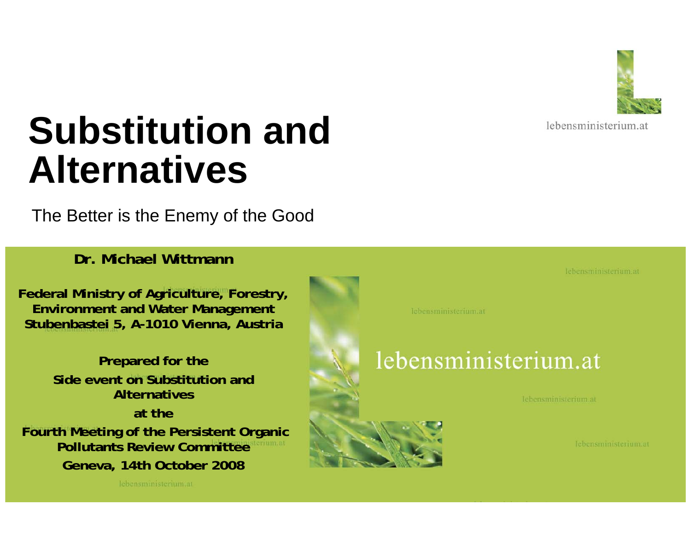

lebensministerium at

# **Substitution and Alternatives**

The Better is the Enemy of the Good

**Dr. Michael Wittmann**

**Federal Ministry of Agriculture, Forestry, Environment and Water Management Stubenbastei 5, A-1010 Vienna, Austria**

**Prepared for the Side event on Substitution and Alternativesat theFourth Meeting of the Persistent Organic Pollutants Review CommitteeGeneva, 14th October 2008**

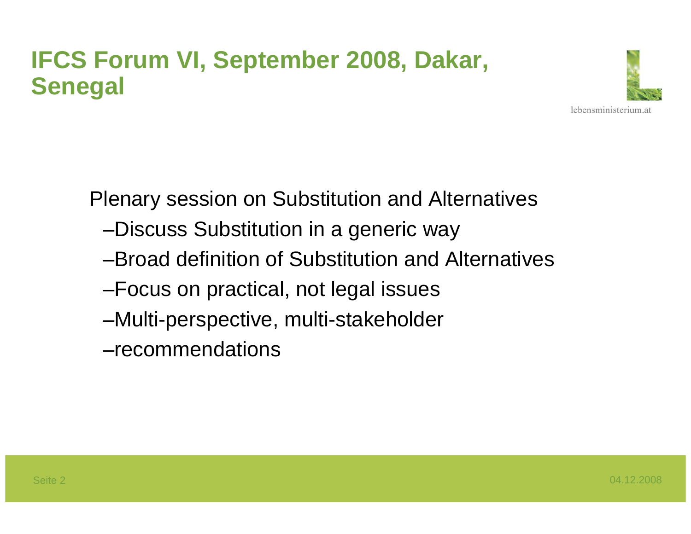### **IFCS Forum VI, September 2008, Dakar, Senegal**



Plenary session on Substitution and Alternatives

- –Discuss Substitution in a generic way
- –Broad definition of Substitution and Alternatives
- –Focus on practical, not legal issues
- –Multi-perspective, multi-stakeholder
- –recommendations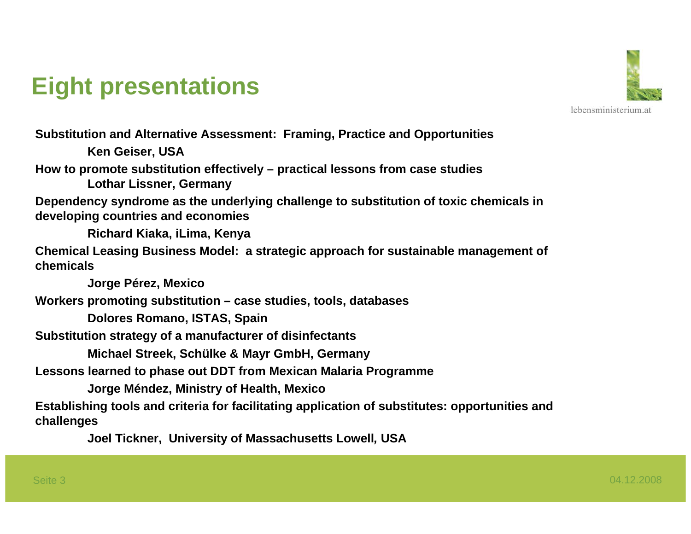### **Eight presentations**



**Substitution and Alternative Assessment: Framing, Practice and Opportunities Ken Geiser, USA How to promote substitution effectively – practical lessons from case studies Lothar Lissner, Germany Dependency syndrome as the underlying challenge to substitution of toxic chemicals in developing countries and economies Richard Kiaka, iLima, Kenya Chemical Leasing Business Model: a strategic approach for sustainable management of chemicalsJorge Pérez, Mexico Workers promoting substitution – case studies, tools, databases Dolores Romano, ISTAS, Spain Substitution strategy of a manufacturer of disinfectants Michael Streek, Schülke & Mayr GmbH, Germany Lessons learned to phase out DDT from Mexican Malaria Programme Jorge Méndez, Ministry of Health, Mexico Establishing tools and criteria for facilitating application of substitutes: opportunities and challenges**

**Joel Tickner, University of Massachusetts Lowell***,* **USA**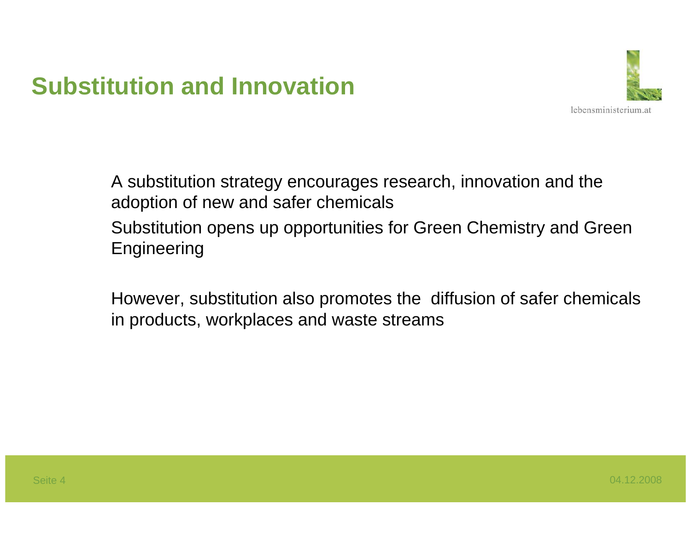### **Substitution and Innovation**



A substitution strategy encourages research, innovation and the adoption of new and safer chemicals Substitution opens up opportunities for Green Chemistry and Green **Engineering** 

However, substitution also promotes the diffusion of safer chemicals in products, workplaces and waste streams

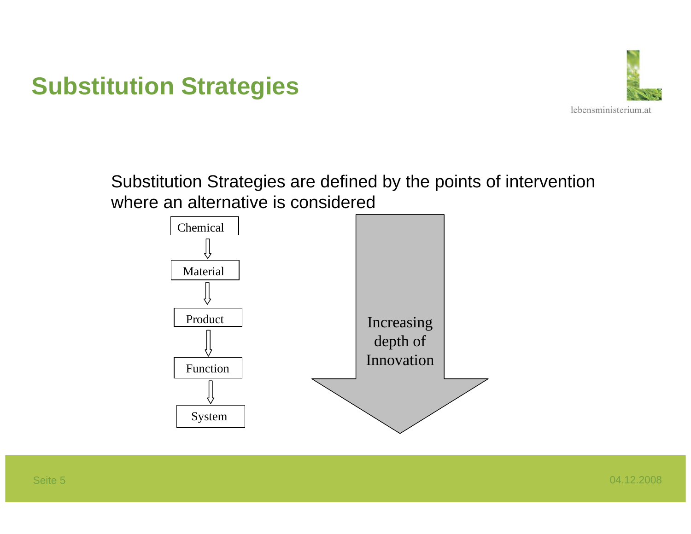### **Substitution Strategies**



Substitution Strategies are defined by the points of intervention where an alternative is considered

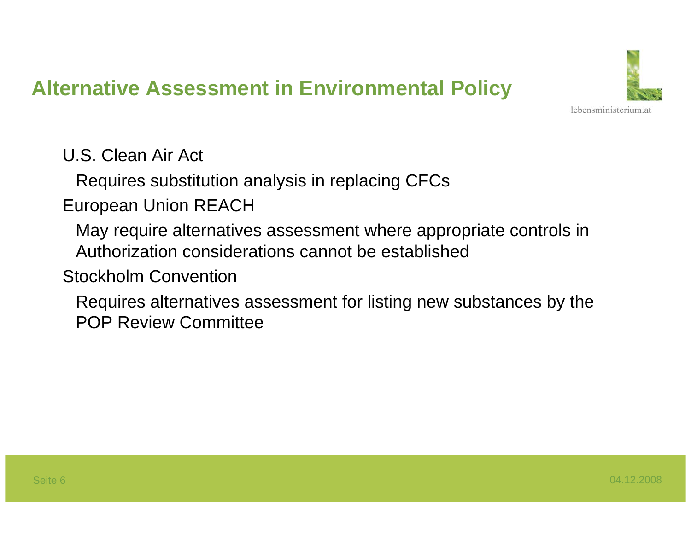#### **Alternative Assessment in Environmental Policy**



U.S. Clean Air Act

Requires substitution analysis in replacing CFCs

European Union REACH

May require alternatives assessment where appropriate controls in Authorization considerations cannot be established

Stockholm Convention

Requires alternatives assessment for listing new substances by the POP Review Committee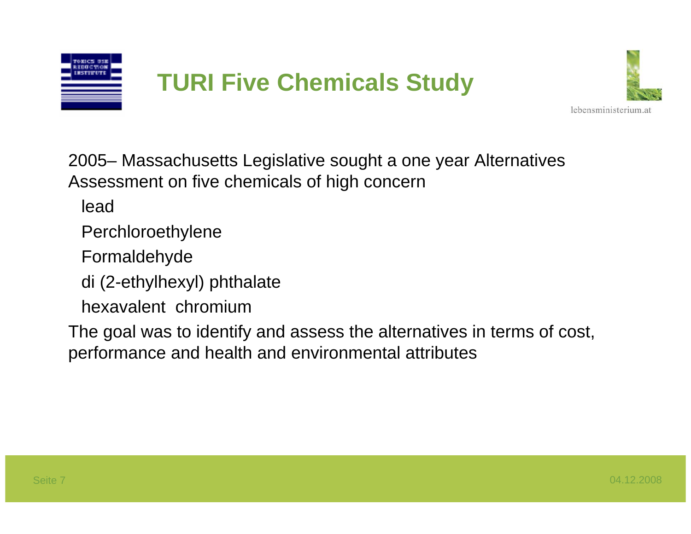

### **TURI Five Chemicals Study**



2005– Massachusetts Legislative sought a one year Alternatives Assessment on five chemicals of high concern

lead

- Perchloroethylene
- Formaldehyde
- di (2-ethylhexyl) phthalate
- hexavalent chromium

The goal was to identify and assess the alternatives in terms of cost, performance and health and environmental attributes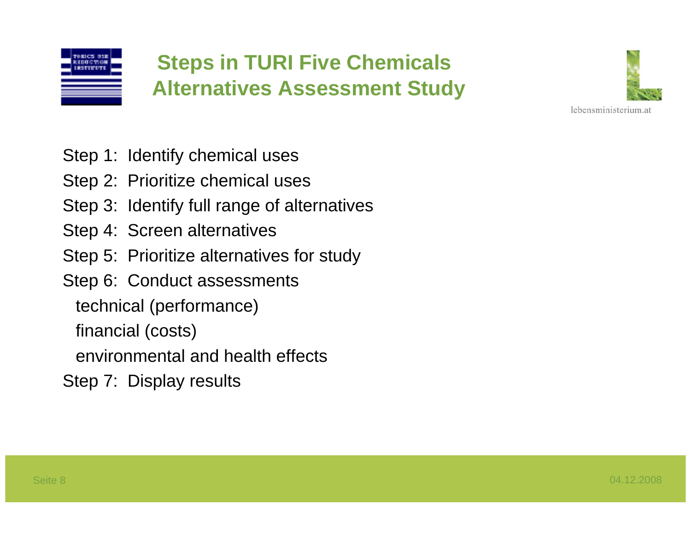

#### **Steps in TURI Five Chemicals Alternatives Assessment Study**



Step 1: Identify chemical uses

- Step 2: Prioritize chemical uses
- Step 3: Identify full range of alternatives
- Step 4: Screen alternatives
- Step 5: Prioritize alternatives for study
- Step 6: Conduct assessments
	- technical (performance)
	- financial (costs)
	- environmental and health effects
- Step 7: Display results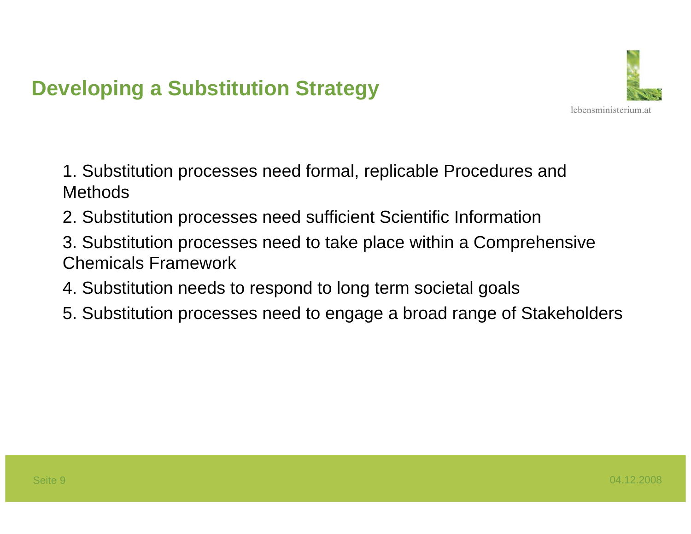#### **Developing a Substitution Strategy**



- 1. Substitution processes need formal, replicable Procedures and Methods
- 2. Substitution processes need sufficient Scientific Information
- 3. Substitution processes need to take place within a Comprehensive Chemicals Framework
- 4. Substitution needs to respond to long term societal goals
- 5. Substitution processes need to engage a broad range of Stakeholders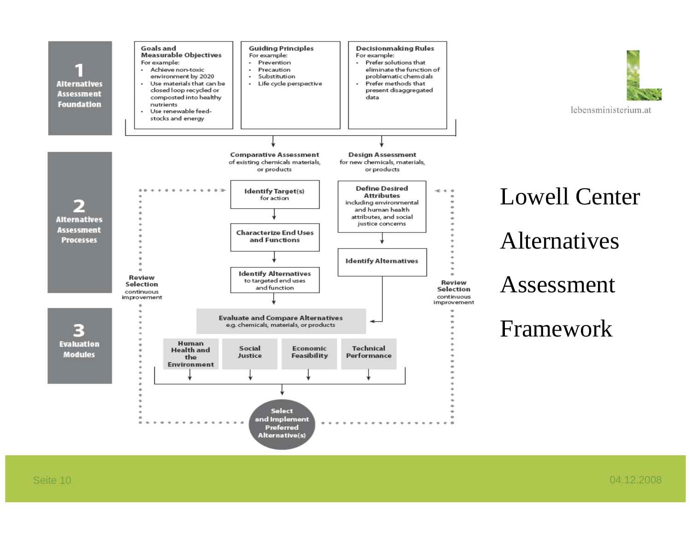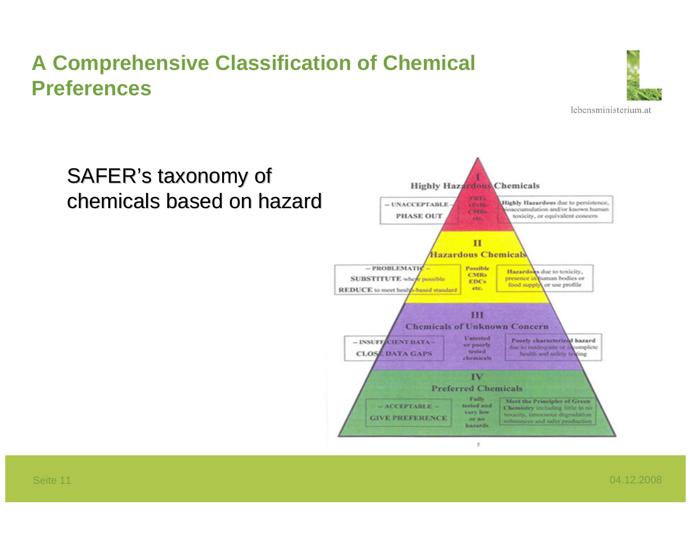#### **A Comprehensive Classification of Chemical Preferences**



#### SAFER's taxonomy of chemicals based on hazard

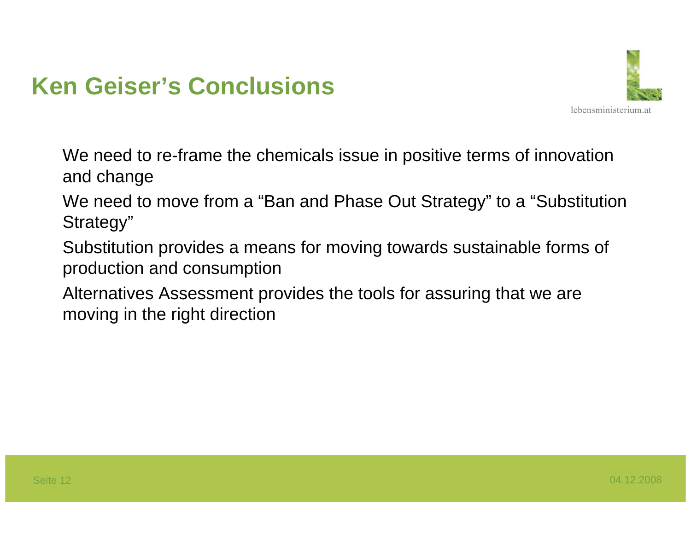### **Ken Geiser's Conclusions**



We need to re-frame the chemicals issue in positive terms of innovation and change

We need to move from a "Ban and Phase Out Strategy" to a "Substitution Strategy"

Substitution provides a means for moving towards sustainable forms of production and consumption

Alternatives Assessment provides the tools for assuring that we are moving in the right direction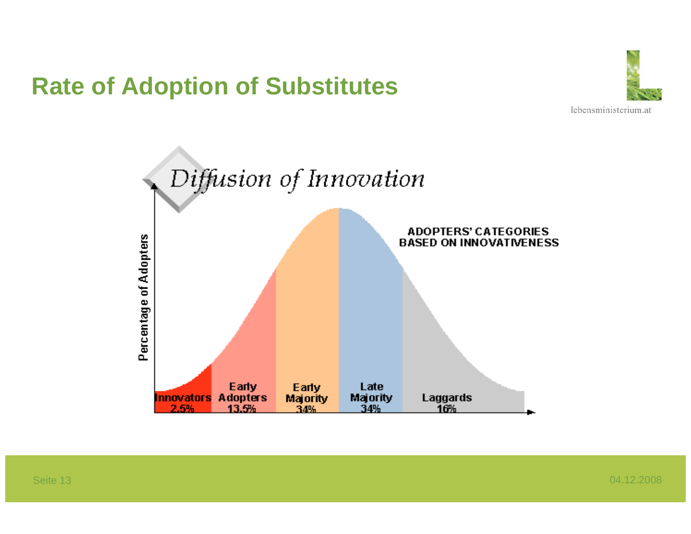### **Rate of Adoption of Substitutes**



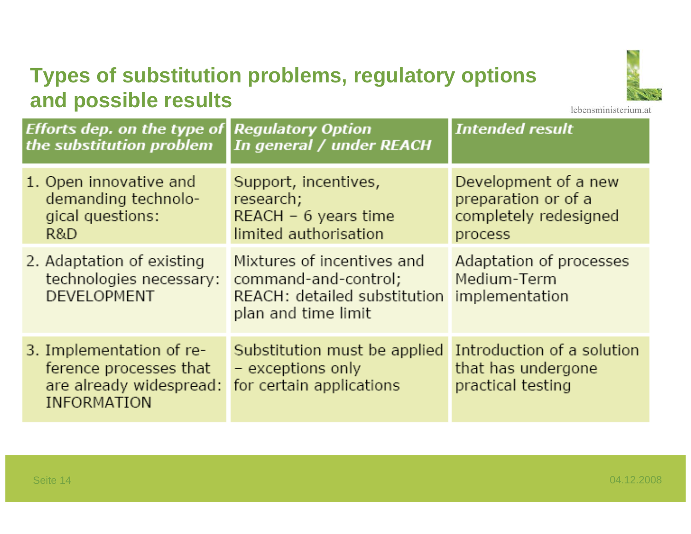#### **Types of substitution problems, regulatory options and possible results**



lebensministerium.at

| <b>Efforts dep. on the type of</b><br>the substitution problem                                      | <b>Regulatory Option</b><br>In general / under REACH                                                      | <b>Intended result</b>                                                          |
|-----------------------------------------------------------------------------------------------------|-----------------------------------------------------------------------------------------------------------|---------------------------------------------------------------------------------|
| 1. Open innovative and<br>demanding technolo-<br>gical questions:<br>R&D                            | Support, incentives,<br>research;<br>$REACH - 6 years time$<br>limited authorisation                      | Development of a new<br>preparation or of a<br>completely redesigned<br>process |
| 2. Adaptation of existing<br>technologies necessary:<br><b>DEVELOPMENT</b>                          | Mixtures of incentives and<br>command-and-control;<br>REACH: detailed substitution<br>plan and time limit | Adaptation of processes<br>Medium-Term<br>implementation                        |
| 3. Implementation of re-<br>ference processes that<br>are already widespread:<br><b>INFORMATION</b> | Substitution must be applied<br>- exceptions only<br>for certain applications                             | Introduction of a solution<br>that has undergone<br>practical testing           |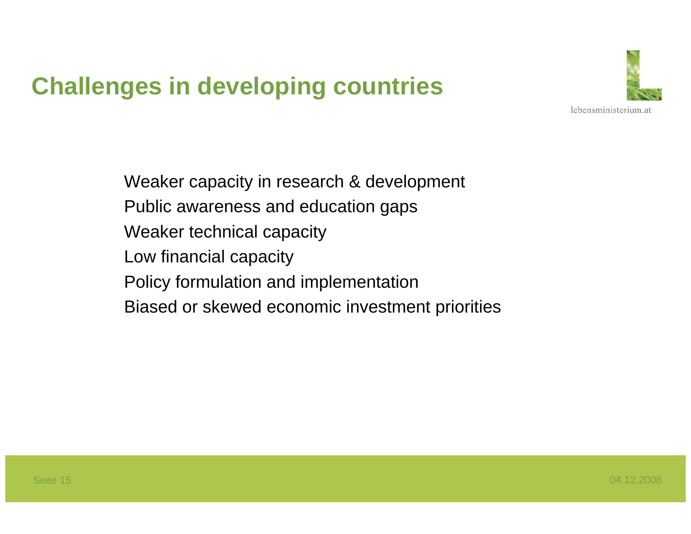### **Challenges in developing countries**



Weaker capacity in research & development Public awareness and education gaps Weaker technical capacity Low financial capacity Policy formulation and implementation Biased or skewed economic investment priorities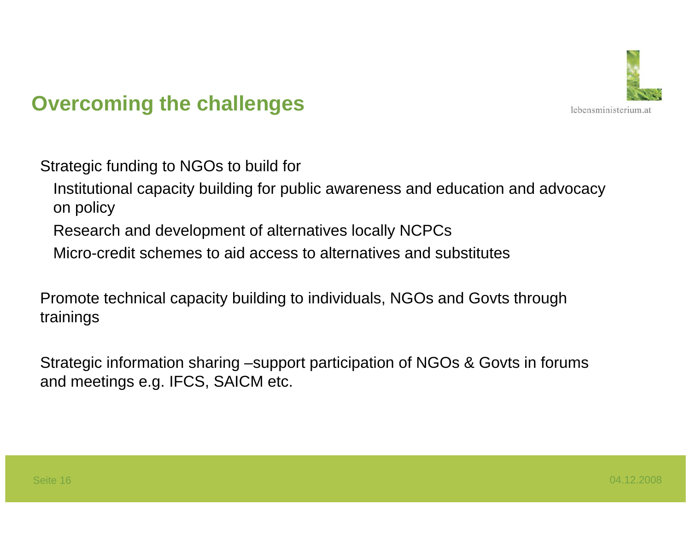

#### **Overcoming the challenges**

Strategic funding to NGOs to build for

- Institutional capacity building for public awareness and education and advocacy on policy
- Research and development of alternatives locally NCPCs
- Micro-credit schemes to aid access to alternatives and substitutes

Promote technical capacity building to individuals, NGOs and Govts through trainings

Strategic information sharing –support participation of NGOs & Govts in forums and meetings e.g. IFCS, SAICM etc.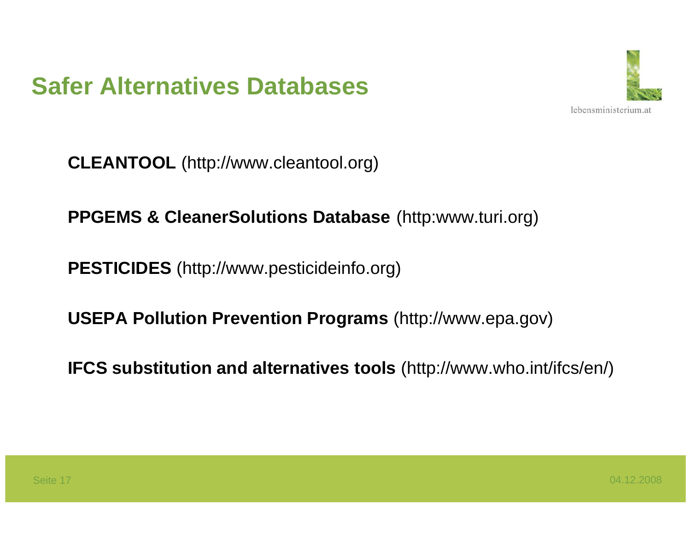



**CLEANTOOL** (http://www.cleantool.org)

**PPGEMS & CleanerSolutions Database** (http:www.turi.org)

**PESTICIDES** (http://www.pesticideinfo.org)

**USEPA Pollution Prevention Programs** (http://www.epa.gov)

**IFCS substitution and alternatives tools** (http://www.who.int/ifcs/en/)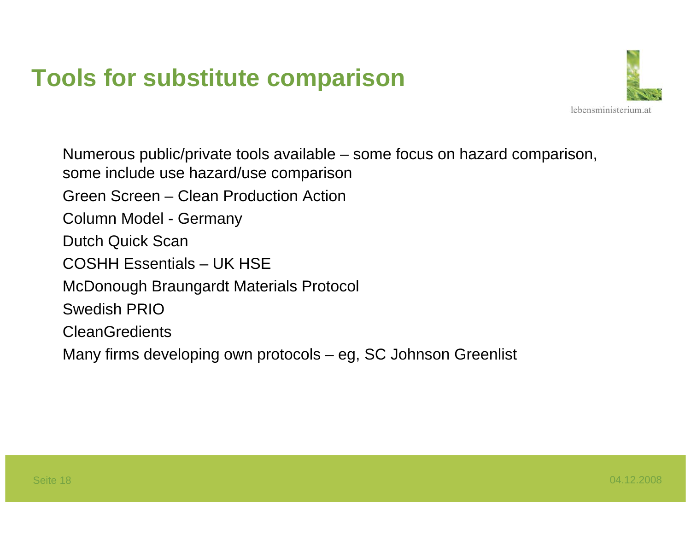### **Tools for substitute comparison**



Numerous public/private tools available – some focus on hazard comparison, some include use hazard/use comparison Green Screen – Clean Production ActionColumn Model - Germany Dutch Quick Scan COSHH Essentials – UK HSEMcDonough Braungardt Materials Protocol Swedish PRIO**CleanGredients** Many firms developing own protocols – eg, SC Johnson Greenlist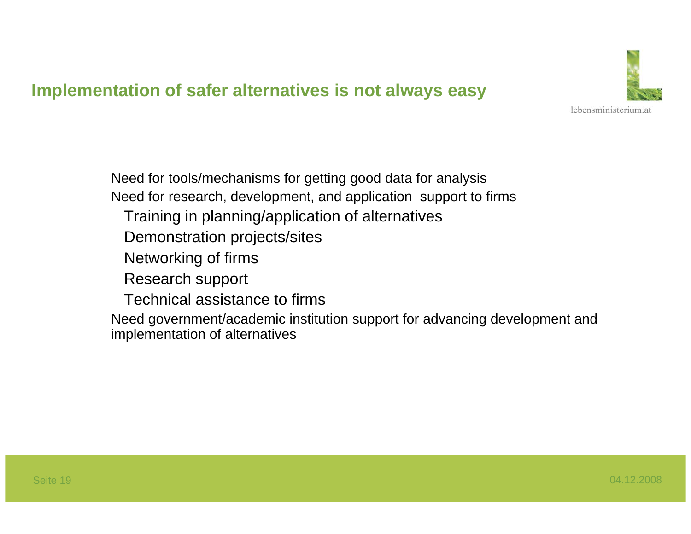#### **Implementation of safer alternatives is not always easy**



Need for tools/mechanisms for getting good data for analysis Need for research, development, and application support to firms Training in planning/application of alternatives Demonstration projects/sites Networking of firms Research support Technical assistance to firmsNeed government/academic institution support for advancing development and implementation of alternatives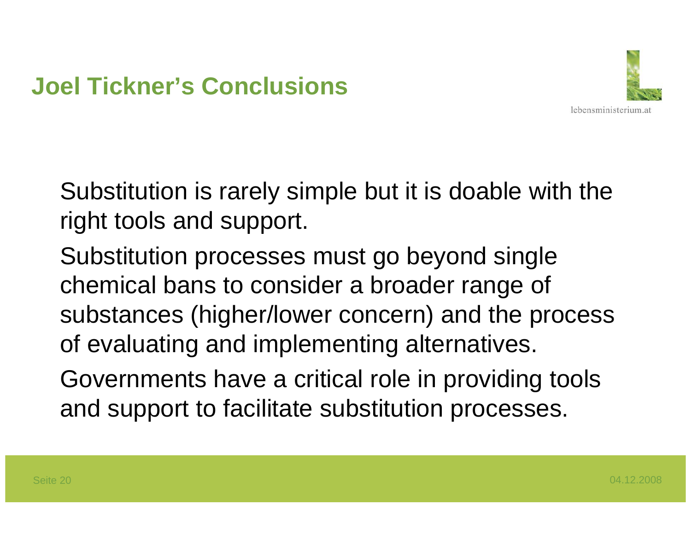

Substitution is rarely simple but it is doable with the right tools and support.

Substitution processes must go beyond single chemical bans to consider a broader range of substances (higher/lower concern) and the process of evaluating and implementing alternatives.

Governments have a critical role in providing tools and support to facilitate substitution processes.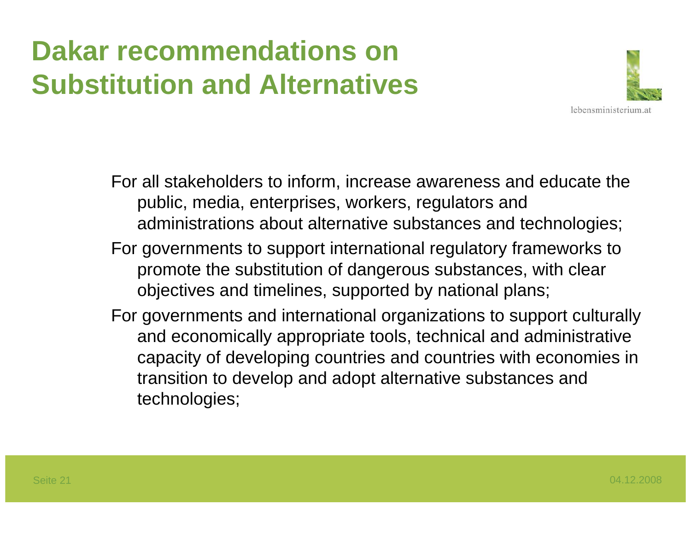## **Dakar recommendations on Substitution and Alternatives**



For all stakeholders to inform, increase awareness and educate the public, media, enterprises, workers, regulators and administrations about alternative substances and technologies;

- For governments to support international regulatory frameworks to promote the substitution of dangerous substances, with clear objectives and timelines, supported by national plans;
- For governments and international organizations to support culturally and economically appropriate tools, technical and administrative capacity of developing countries and countries with economies in transition to develop and adopt alternative substances and technologies;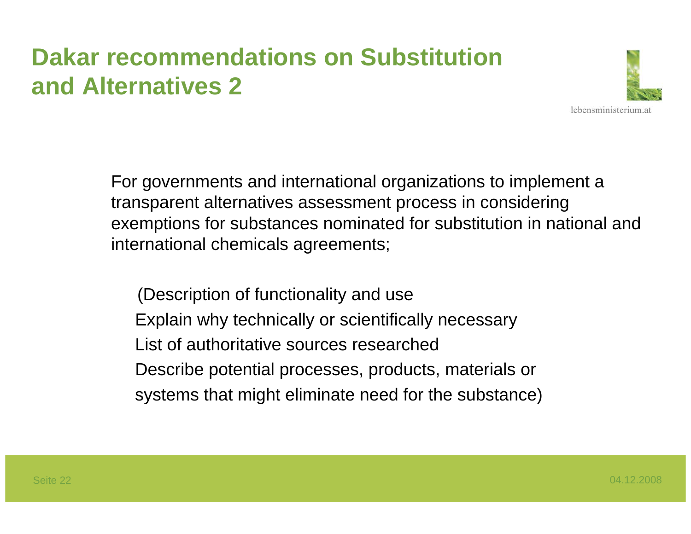### **Dakar recommendations on Substitution and Alternatives 2**



For governments and international organizations to implement a transparent alternatives assessment process in considering exemptions for substances nominated for substitution in national and international chemicals agreements;

(Description of functionality and use Explain why technically or scientifically necessary List of authoritative sources researchedDescribe potential processes, products, materials or systems that might eliminate need for the substance)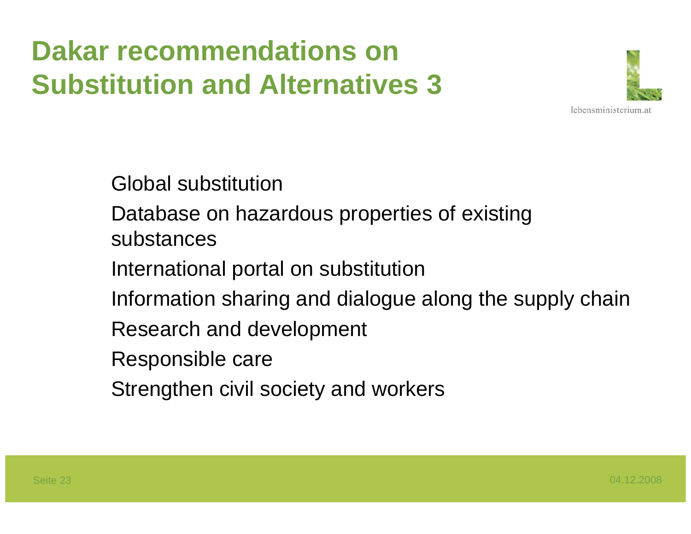# **Dakar recommendations on Substitution and Alternatives 3**



Global substitution

Database on hazardous properties of existing substances

International portal on substitution

Information sharing and dialogue along the supply chain

Research and development

Responsible care

Strengthen civil society and workers